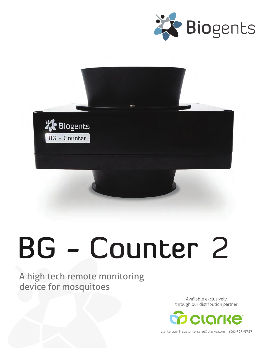



# BG - Counter 2

#### A high tech remote monitoring device for mosquitoes

Available exclusively through our distribution partner



clarke.com | customercare@clarke.com | 800-323-5727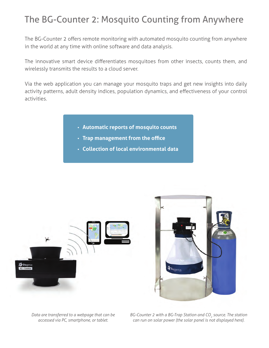## The BG-Counter 2: Mosquito Counting from Anywhere

The BG-Counter 2 offers remote monitoring with automated mosquito counting from anywhere in the world at any time with online software and data analysis.

The innovative smart device differentiates mosquitoes from other insects, counts them, and wirelessly transmits the results to a cloud server.

Via the web application you can manage your mosquito traps and get new insights into daily activity patterns, adult density indices, population dynamics, and effectiveness of your control activities.

- **• Automatic reports of mosquito counts**
- **• Trap management from the office**
- **• Collection of local environmental data**





*Data are transferred to a webpage that can be accessed via PC, smartphone, or tablet.*

*BG-Counter 2 with a BG-Trap Station and CO<sub>2</sub> source. The station can run on solar power (the solar panel is not displayed here).*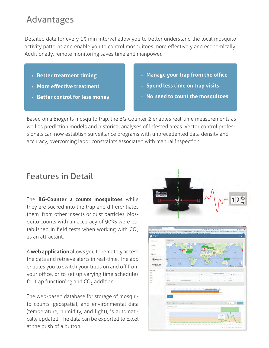#### Advantages

Detailed data for every 15 min interval allow you to better understand the local mosquito activity patterns and enable you to control mosquitoes more effectively and economically. Additionally, remote monitoring saves time and manpower.

- **• Better treatment timing**
- **• More effective treatment**
- **• Better control for less money**
- **• Manage your trap from the office**
- **• Spend less time on trap visits**
- **• No need to count the mosquitoes**

Based on a Biogents mosquito trap, the BG-Counter 2 enables real-time measurements as well as prediction models and historical analyses of infested areas. Vector control professionals can now establish surveillance programs with unprecedented data density and accuracy, overcoming labor constraints associated with manual inspection.

#### Features in Detail

The **BG-Counter 2 counts mosquitoes** while they are sucked into the trap and differentiates them from other insects or dust particles. Mosquito counts with an accuracy of 90% were established in field tests when working with  $CO<sub>2</sub>$ as an attractant.

A **web application** allows you to remotely access the data and retrieve alerts in real-time. The app enables you to switch your traps on and off from your office, or to set up varying time schedules for trap functioning and  $CO<sub>2</sub>$  addition.

The web-based database for storage of mosquito counts, geospatial, and environmental data (temperature, humidity, and light), is automatically updated. The data can be exported to Excel at the push of a button.